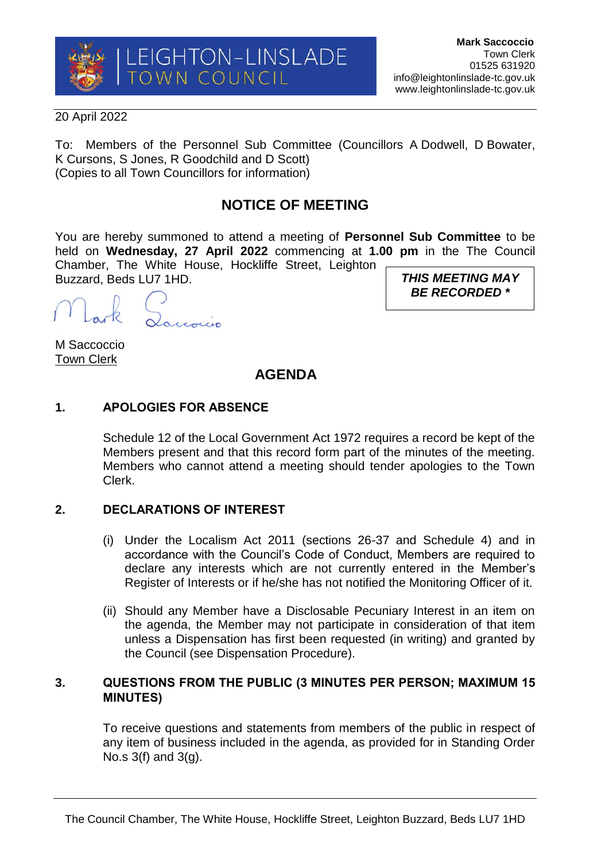

#### 20 April 2022

To: Members of the Personnel Sub Committee (Councillors A Dodwell, D Bowater, K Cursons, S Jones, R Goodchild and D Scott) (Copies to all Town Councillors for information)

# **NOTICE OF MEETING**

You are hereby summoned to attend a meeting of **Personnel Sub Committee** to be held on **Wednesday, 27 April 2022** commencing at **1.00 pm** in the The Council Chamber, The White House, Hockliffe Street, Leighton

Buzzard, Beds LU7 1HD.

M Saccoccio Town Clerk

*THIS MEETING MAY BE RECORDED \**

# **AGENDA**

### **1. APOLOGIES FOR ABSENCE**

Schedule 12 of the Local Government Act 1972 requires a record be kept of the Members present and that this record form part of the minutes of the meeting. Members who cannot attend a meeting should tender apologies to the Town Clerk.

#### **2. DECLARATIONS OF INTEREST**

- (i) Under the Localism Act 2011 (sections 26-37 and Schedule 4) and in accordance with the Council's Code of Conduct, Members are required to declare any interests which are not currently entered in the Member's Register of Interests or if he/she has not notified the Monitoring Officer of it.
- (ii) Should any Member have a Disclosable Pecuniary Interest in an item on the agenda, the Member may not participate in consideration of that item unless a Dispensation has first been requested (in writing) and granted by the Council (see Dispensation Procedure).

### **3. QUESTIONS FROM THE PUBLIC (3 MINUTES PER PERSON; MAXIMUM 15 MINUTES)**

To receive questions and statements from members of the public in respect of any item of business included in the agenda, as provided for in Standing Order No.s 3(f) and 3(g).